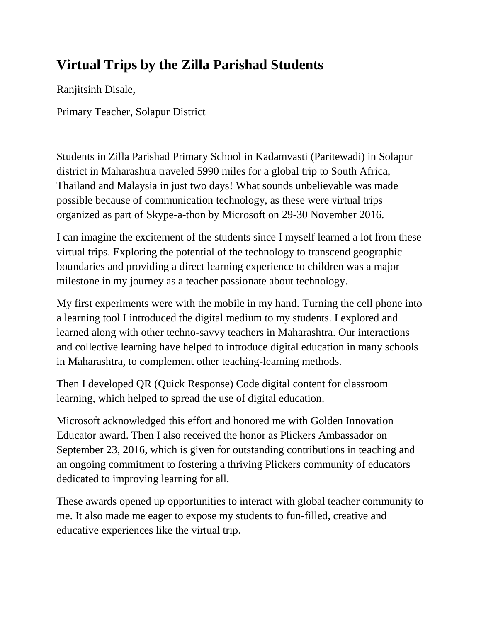# **Virtual Trips by the Zilla Parishad Students**

Ranjitsinh Disale,

Primary Teacher, Solapur District

Students in Zilla Parishad Primary School in Kadamvasti (Paritewadi) in Solapur district in Maharashtra traveled 5990 miles for a global trip to South Africa, Thailand and Malaysia in just two days! What sounds unbelievable was made possible because of communication technology, as these were virtual trips organized as part of Skype-a-thon by Microsoft on 29-30 November 2016.

I can imagine the excitement of the students since I myself learned a lot from these virtual trips. Exploring the potential of the technology to transcend geographic boundaries and providing a direct learning experience to children was a major milestone in my journey as a teacher passionate about technology.

My first experiments were with the mobile in my hand. Turning the cell phone into a learning tool I introduced the digital medium to my students. I explored and learned along with other techno-savvy teachers in Maharashtra. Our interactions and collective learning have helped to introduce digital education in many schools in Maharashtra, to complement other teaching-learning methods.

Then I developed QR (Quick Response) Code digital content for classroom learning, which helped to spread the use of digital education.

Microsoft acknowledged this effort and honored me with Golden Innovation Educator award. Then I also received the honor as Plickers Ambassador on September 23, 2016, which is given for outstanding contributions in teaching and an ongoing commitment to fostering a thriving Plickers community of educators dedicated to improving learning for all.

These awards opened up opportunities to interact with global teacher community to me. It also made me eager to expose my students to fun-filled, creative and educative experiences like the virtual trip.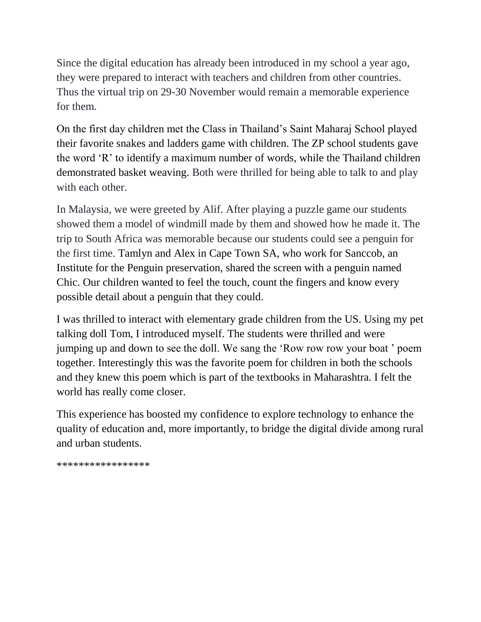Since the digital education has already been introduced in my school a year ago, they were prepared to interact with teachers and children from other countries. Thus the virtual trip on 29-30 November would remain a memorable experience for them.

On the first day children met the Class in Thailand's Saint Maharaj School played their favorite snakes and ladders game with children. The ZP school students gave the word 'R' to identify a maximum number of words, while the Thailand children demonstrated basket weaving. Both were thrilled for being able to talk to and play with each other.

In Malaysia, we were greeted by Alif. After playing a puzzle game our students showed them a model of windmill made by them and showed how he made it. The trip to South Africa was memorable because our students could see a penguin for the first time. Tamlyn and Alex in Cape Town SA, who work for Sanccob, an Institute for the Penguin preservation, shared the screen with a penguin named Chic. Our children wanted to feel the touch, count the fingers and know every possible detail about a penguin that they could.

I was thrilled to interact with elementary grade children from the US. Using my pet talking doll Tom, I introduced myself. The students were thrilled and were jumping up and down to see the doll. We sang the 'Row row row your boat ' poem together. Interestingly this was the favorite poem for children in both the schools and they knew this poem which is part of the textbooks in Maharashtra. I felt the world has really come closer.

This experience has boosted my confidence to explore technology to enhance the quality of education and, more importantly, to bridge the digital divide among rural and urban students.

\*\*\*\*\*\*\*\*\*\*\*\*\*\*\*\*\*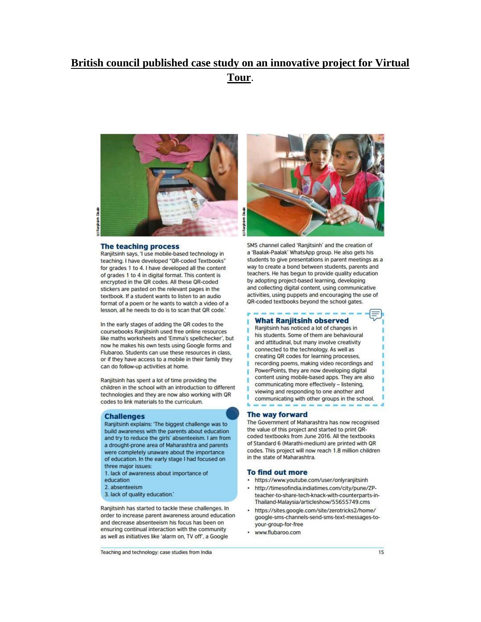## British council published case study on an innovative project for Virtual Tour.



Distant Ranitain

#### The teaching process

Ranjitsinh says, 'I use mobile-based technology in teaching. I have developed "QR-coded Textbooks" for grades 1 to 4. I have developed all the content of grades 1 to 4 in digital format. This content is encrypted in the QR codes. All these QR-coded stickers are pasted on the relevant pages in the textbook. If a student wants to listen to an audio format of a poem or he wants to watch a video of a lesson, all he needs to do is to scan that QR code.'

In the early stages of adding the QR codes to the coursebooks Ranjitsinh used free online resources like maths worksheets and 'Emma's spellchecker', but now he makes his own tests using Google forms and Flubaroo. Students can use these resources in class. or if they have access to a mobile in their family they can do follow-up activities at home.

Ranjitsinh has spent a lot of time providing the children in the school with an introduction to different technologies and they are now also working with QR codes to link materials to the curriculum.

#### **Challenges**

Ranjitsinh explains: 'The biggest challenge was to build awareness with the parents about education and try to reduce the girls' absenteeism. I am from a drought-prone area of Maharashtra and parents were completely unaware about the importance of education. In the early stage I had focused on three major issues:

- 1. lack of awareness about importance of
- education
- 2. absenteeism
- 3. lack of quality education.'

Ranjitsinh has started to tackle these challenges. In order to increase parent awareness around education and decrease absenteeism his focus has been on ensuring continual interaction with the community as well as initiatives like 'alarm on, TV off', a Google



SMS channel called 'Raniitsinh' and the creation of a 'Baalak-Paalak' WhatsApp group. He also gets his students to give presentations in parent meetings as a way to create a bond between students, parents and teachers. He has begun to provide quality education by adopting project-based learning, developing and collecting digital content, using communicative activities, using puppets and encouraging the use of QR-coded textbooks beyond the school gates.

### **What Ranjitsinh observed**

Ranjitsinh has noticed a lot of changes in his students. Some of them are behavioural and attitudinal, but many involve creativity connected to the technology. As well as creating QR codes for learning processes, recording poems, making video recordings and PowerPoints, they are now developing digital content using mobile-based apps. They are also communicating more effectively - listening. viewing and responding to one another and communicating with other groups in the school.

#### The way forward

The Government of Maharashtra has now recognised the value of this project and started to print QRcoded textbooks from June 2016. All the textbooks of Standard 6 (Marathi-medium) are printed with QR codes. This project will now reach 1.8 million children in the state of Maharashtra.

#### **To find out more**

- https://www.youtube.com/user/onlyranjitsinh
- ä. http://timesofindia.indiatimes.com/city/pune/ZPteacher-to-share-tech-knack-with-counterparts-in-Thailand-Malaysia/articleshow/55655749.cms
- https://sites.google.com/site/zerotricks2/home/ google-sms-channels-send-sms-text-messages-toyour-group-for-free
- www.flubaroo.com